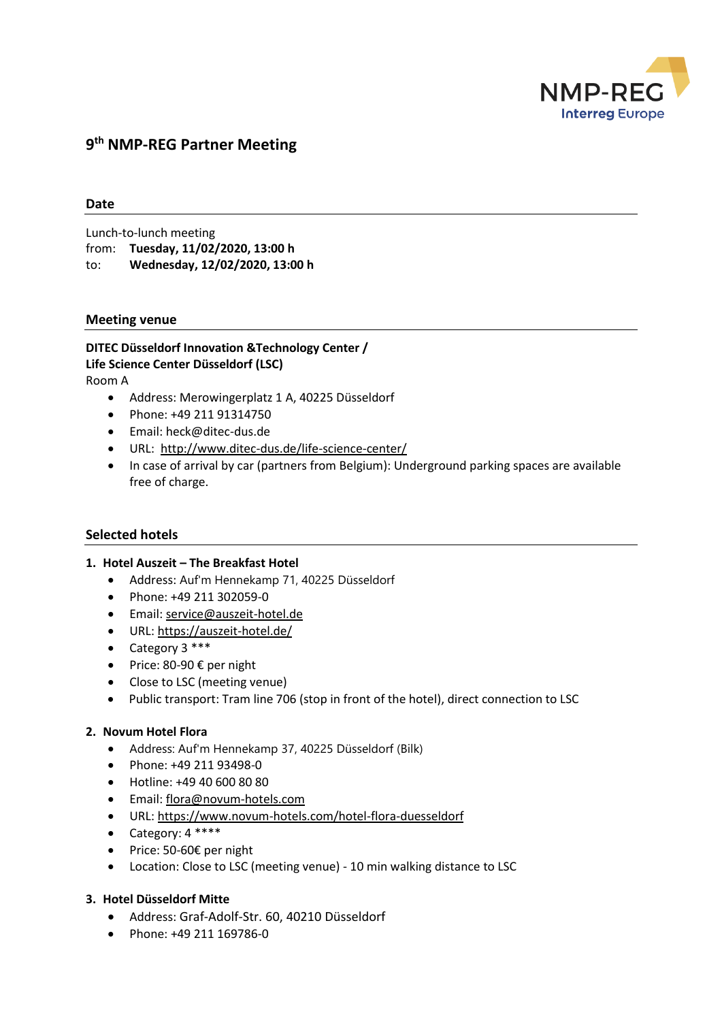

# **9 th NMP-REG Partner Meeting**

## **Date**

Lunch-to-lunch meeting from: **Tuesday, 11/02/2020, 13:00 h** to: **Wednesday, 12/02/2020, 13:00 h**

#### **Meeting venue**

**DITEC Düsseldorf Innovation &Technology Center / Life Science Center Düsseldorf (LSC)** Room A

- Address: Merowingerplatz 1 A, 40225 Düsseldorf
- Phone: +49 211 91314750
- Email: [heck@ditec-dus.de](mailto:heck@ditec-dus.de)
- URL: <http://www.ditec-dus.de/life-science-center/>
- In case of arrival by car (partners from Belgium): Underground parking spaces are available free of charge.

## **Selected hotels**

#### **1. Hotel Auszeit – The Breakfast Hotel**

- Address: Auf'm Hennekamp 71, 40225 Düsseldorf
- Phone: +49 211 302059-0
- Email: [service@auszeit-hotel.de](mailto:service@auszeit-hotel.de)
- URL:<https://auszeit-hotel.de/>
- Category  $3***$
- $\bullet$  Price: 80-90 € per night
- Close to LSC (meeting venue)
- Public transport: Tram line 706 (stop in front of the hotel), direct connection to LSC

#### **2. Novum Hotel Flora**

- Address: Auf'm Hennekamp 37, 40225 Düsseldorf (Bilk)
- Phone: +49 211 93498-0
- Hotline: [+49 40 600 80 80](tel:+49%2040%20600%2080%2080)
- Email: [flora@novum-hotels.com](mailto:flora@novum-hotels.com)
- URL:<https://www.novum-hotels.com/hotel-flora-duesseldorf>
- Category: 4 \*\*\*\*
- Price: 50-60€ per night
- Location: Close to LSC (meeting venue) 10 min walking distance to LSC

#### **3. Hotel Düsseldorf Mitte**

- Address: Graf-Adolf-Str. 60, 40210 Düsseldorf
- Phone: +49 211 169786-0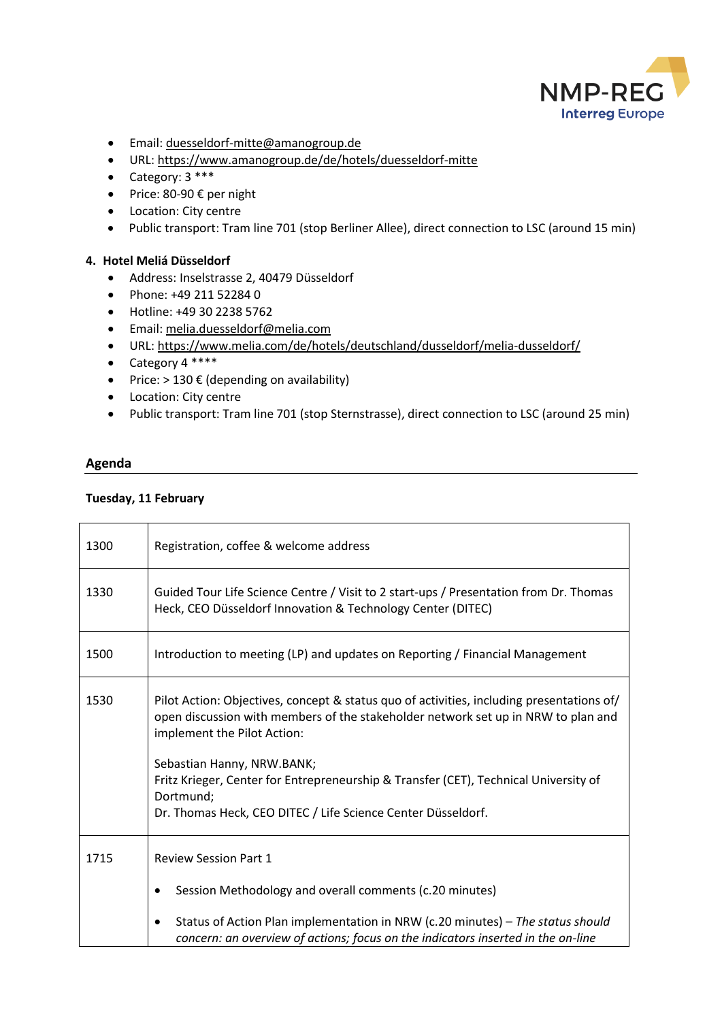

- Email: [duesseldorf-mitte@amanogroup.de](mailto:duesseldorf-mitte@amanogroup.de)
- URL: <https://www.amanogroup.de/de/hotels/duesseldorf-mitte>
- Category:  $3***$
- $\bullet$  Price: 80-90 € per night
- Location: City centre
- Public transport: Tram line 701 (stop Berliner Allee), direct connection to LSC (around 15 min)

## **4. Hotel Meliá Düsseldorf**

- Address: Inselstrasse 2, 40479 Düsseldorf
- Phone: +49 211 52284 0
- Hotline: +49 30 2238 5762
- Email: [melia.duesseldorf@melia.com](mailto:melia.duesseldorf@melia.com)
- URL: <https://www.melia.com/de/hotels/deutschland/dusseldorf/melia-dusseldorf/>
- Category 4 \*\*\*\*
- Price:  $> 130 \epsilon$  (depending on availability)
- Location: City centre
- Public transport: Tram line 701 (stop Sternstrasse), direct connection to LSC (around 25 min)

#### **Agenda**

#### **Tuesday, 11 February**

| 1300 | Registration, coffee & welcome address                                                                                                                                                                                                                                                                                                                                                                           |
|------|------------------------------------------------------------------------------------------------------------------------------------------------------------------------------------------------------------------------------------------------------------------------------------------------------------------------------------------------------------------------------------------------------------------|
| 1330 | Guided Tour Life Science Centre / Visit to 2 start-ups / Presentation from Dr. Thomas<br>Heck, CEO Düsseldorf Innovation & Technology Center (DITEC)                                                                                                                                                                                                                                                             |
| 1500 | Introduction to meeting (LP) and updates on Reporting / Financial Management                                                                                                                                                                                                                                                                                                                                     |
| 1530 | Pilot Action: Objectives, concept & status quo of activities, including presentations of/<br>open discussion with members of the stakeholder network set up in NRW to plan and<br>implement the Pilot Action:<br>Sebastian Hanny, NRW.BANK;<br>Fritz Krieger, Center for Entrepreneurship & Transfer (CET), Technical University of<br>Dortmund;<br>Dr. Thomas Heck, CEO DITEC / Life Science Center Düsseldorf. |
|      |                                                                                                                                                                                                                                                                                                                                                                                                                  |
| 1715 | <b>Review Session Part 1</b>                                                                                                                                                                                                                                                                                                                                                                                     |
|      | Session Methodology and overall comments (c.20 minutes)                                                                                                                                                                                                                                                                                                                                                          |
|      | Status of Action Plan implementation in NRW (c.20 minutes) - The status should<br>$\bullet$<br>concern: an overview of actions; focus on the indicators inserted in the on-line                                                                                                                                                                                                                                  |